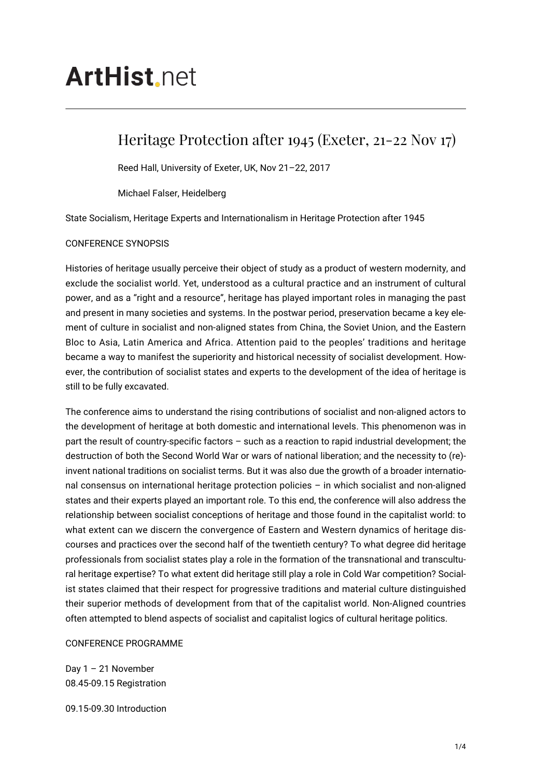## **ArtHist** net

## Heritage Protection after 1945 (Exeter, 21-22 Nov 17)

Reed Hall, University of Exeter, UK, Nov 21–22, 2017

Michael Falser, Heidelberg

State Socialism, Heritage Experts and Internationalism in Heritage Protection after 1945

## CONFERENCE SYNOPSIS

Histories of heritage usually perceive their object of study as a product of western modernity, and exclude the socialist world. Yet, understood as a cultural practice and an instrument of cultural power, and as a "right and a resource", heritage has played important roles in managing the past and present in many societies and systems. In the postwar period, preservation became a key element of culture in socialist and non-aligned states from China, the Soviet Union, and the Eastern Bloc to Asia, Latin America and Africa. Attention paid to the peoples' traditions and heritage became a way to manifest the superiority and historical necessity of socialist development. However, the contribution of socialist states and experts to the development of the idea of heritage is still to be fully excavated.

The conference aims to understand the rising contributions of socialist and non-aligned actors to the development of heritage at both domestic and international levels. This phenomenon was in part the result of country-specific factors – such as a reaction to rapid industrial development; the destruction of both the Second World War or wars of national liberation; and the necessity to (re) invent national traditions on socialist terms. But it was also due the growth of a broader international consensus on international heritage protection policies – in which socialist and non-aligned states and their experts played an important role. To this end, the conference will also address the relationship between socialist conceptions of heritage and those found in the capitalist world: to what extent can we discern the convergence of Eastern and Western dynamics of heritage discourses and practices over the second half of the twentieth century? To what degree did heritage professionals from socialist states play a role in the formation of the transnational and transcultural heritage expertise? To what extent did heritage still play a role in Cold War competition? Socialist states claimed that their respect for progressive traditions and material culture distinguished their superior methods of development from that of the capitalist world. Non-Aligned countries often attempted to blend aspects of socialist and capitalist logics of cultural heritage politics.

## CONFERENCE PROGRAMME

Day 1 – 21 November 08.45-09.15 Registration

09.15-09.30 Introduction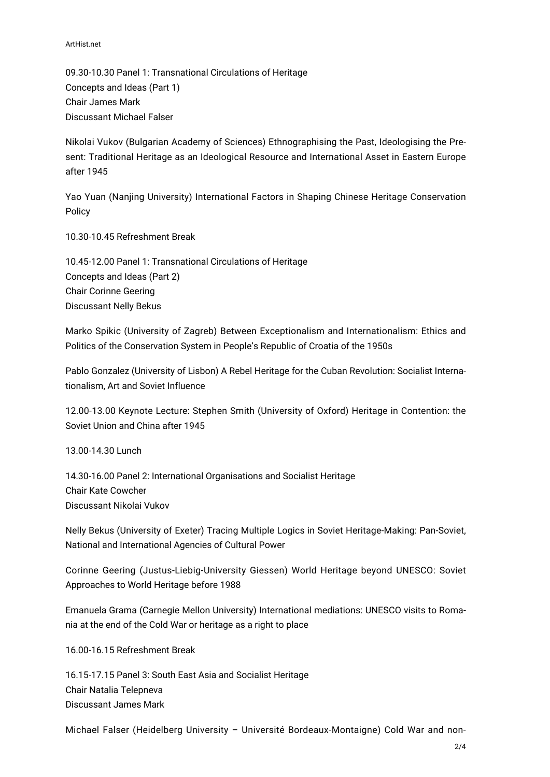ArtHist.net

09.30-10.30 Panel 1: Transnational Circulations of Heritage Concepts and Ideas (Part 1) Chair James Mark Discussant Michael Falser

Nikolai Vukov (Bulgarian Academy of Sciences) Ethnographising the Past, Ideologising the Present: Traditional Heritage as an Ideological Resource and International Asset in Eastern Europe after 1945

Yao Yuan (Nanjing University) International Factors in Shaping Chinese Heritage Conservation Policy

10.30-10.45 Refreshment Break

10.45-12.00 Panel 1: Transnational Circulations of Heritage Concepts and Ideas (Part 2) Chair Corinne Geering Discussant Nelly Bekus

Marko Spikic (University of Zagreb) Between Exceptionalism and Internationalism: Ethics and Politics of the Conservation System in People's Republic of Croatia of the 1950s

Pablo Gonzalez (University of Lisbon) A Rebel Heritage for the Cuban Revolution: Socialist Internationalism, Art and Soviet Influence

12.00-13.00 Keynote Lecture: Stephen Smith (University of Oxford) Heritage in Contention: the Soviet Union and China after 1945

13.00-14.30 Lunch

14.30-16.00 Panel 2: International Organisations and Socialist Heritage Chair Kate Cowcher Discussant Nikolai Vukov

Nelly Bekus (University of Exeter) Tracing Multiple Logics in Soviet Heritage-Making: Pan-Soviet, National and International Agencies of Cultural Power

Corinne Geering (Justus-Liebig-University Giessen) World Heritage beyond UNESCO: Soviet Approaches to World Heritage before 1988

Emanuela Grama (Carnegie Mellon University) International mediations: UNESCO visits to Romania at the end of the Cold War or heritage as a right to place

16.00-16.15 Refreshment Break

16.15-17.15 Panel 3: South East Asia and Socialist Heritage Chair Natalia Telepneva Discussant James Mark

Michael Falser (Heidelberg University – Université Bordeaux-Montaigne) Cold War and non-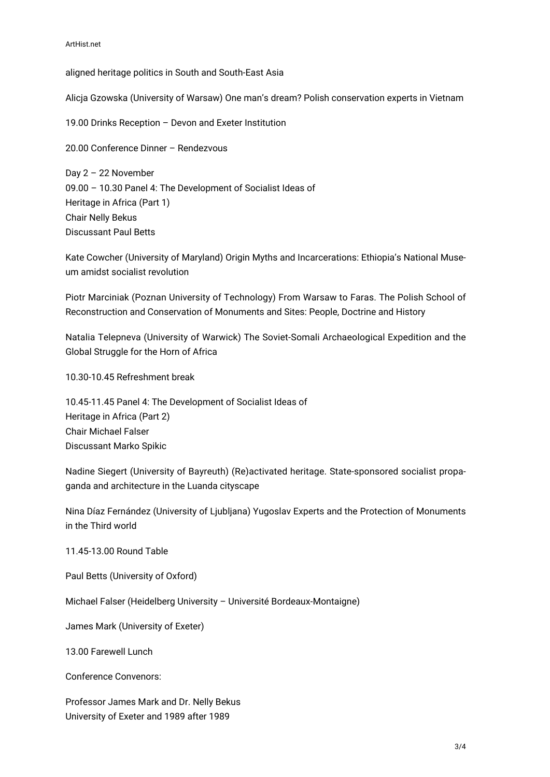aligned heritage politics in South and South-East Asia

Alicja Gzowska (University of Warsaw) One man's dream? Polish conservation experts in Vietnam

19.00 Drinks Reception – Devon and Exeter Institution

20.00 Conference Dinner – Rendezvous

Day 2 – 22 November 09.00 – 10.30 Panel 4: The Development of Socialist Ideas of Heritage in Africa (Part 1) Chair Nelly Bekus Discussant Paul Betts

Kate Cowcher (University of Maryland) Origin Myths and Incarcerations: Ethiopia's National Museum amidst socialist revolution

Piotr Marciniak (Poznan University of Technology) From Warsaw to Faras. The Polish School of Reconstruction and Conservation of Monuments and Sites: People, Doctrine and History

Natalia Telepneva (University of Warwick) The Soviet-Somali Archaeological Expedition and the Global Struggle for the Horn of Africa

10.30-10.45 Refreshment break

10.45-11.45 Panel 4: The Development of Socialist Ideas of Heritage in Africa (Part 2) Chair Michael Falser Discussant Marko Spikic

Nadine Siegert (University of Bayreuth) (Re)activated heritage. State-sponsored socialist propaganda and architecture in the Luanda cityscape

Nina Díaz Fernández (University of Ljubljana) Yugoslav Experts and the Protection of Monuments in the Third world

11.45-13.00 Round Table

Paul Betts (University of Oxford)

Michael Falser (Heidelberg University – Université Bordeaux-Montaigne)

James Mark (University of Exeter)

13.00 Farewell Lunch

Conference Convenors:

Professor James Mark and Dr. Nelly Bekus University of Exeter and 1989 after 1989